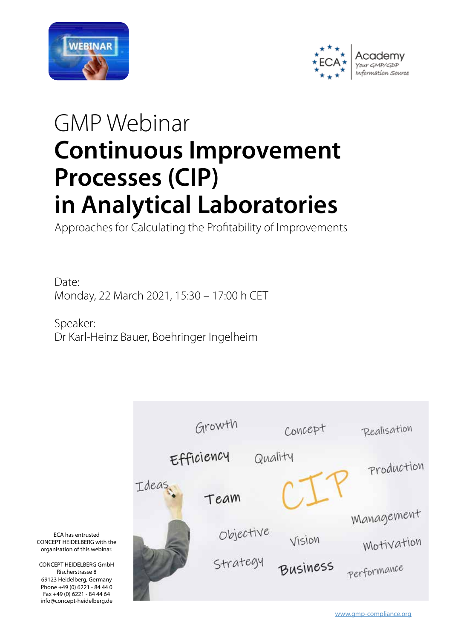



# GMP Webinar **Continuous Improvement Processes (CIP) in Analytical Laboratories**

Approaches for Calculating the Profitability of Improvements

Date: Monday, 22 March 2021, 15:30 – 17:00 h CET

Speaker: Dr Karl-Heinz Bauer, Boehringer Ingelheim



ECA has entrusted CONCEPT HEIDEL BERG with the organisation of this webinar.

CONCEPT HEIDELBERG GmbH Rischerstrasse 8 69123 Heidelberg, Germany Phone +49 (0) 6221 - 84 44 0 Fax +49 (0) 6221 - 84 44 64 info@concept-heidelberg.de